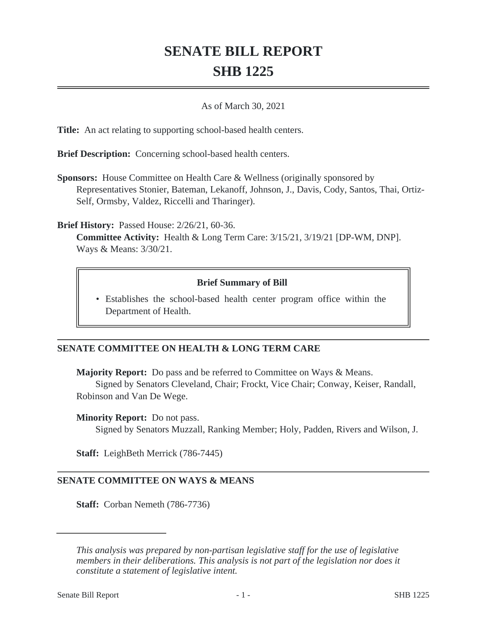# **SENATE BILL REPORT SHB 1225**

## As of March 30, 2021

**Title:** An act relating to supporting school-based health centers.

**Brief Description:** Concerning school-based health centers.

**Sponsors:** House Committee on Health Care & Wellness (originally sponsored by Representatives Stonier, Bateman, Lekanoff, Johnson, J., Davis, Cody, Santos, Thai, Ortiz-Self, Ormsby, Valdez, Riccelli and Tharinger).

**Brief History:** Passed House: 2/26/21, 60-36.

**Committee Activity:** Health & Long Term Care: 3/15/21, 3/19/21 [DP-WM, DNP]. Ways & Means: 3/30/21.

## **Brief Summary of Bill**

Establishes the school-based health center program office within the • Department of Health.

## **SENATE COMMITTEE ON HEALTH & LONG TERM CARE**

**Majority Report:** Do pass and be referred to Committee on Ways & Means. Signed by Senators Cleveland, Chair; Frockt, Vice Chair; Conway, Keiser, Randall, Robinson and Van De Wege.

#### **Minority Report:** Do not pass.

Signed by Senators Muzzall, Ranking Member; Holy, Padden, Rivers and Wilson, J.

**Staff:** LeighBeth Merrick (786-7445)

## **SENATE COMMITTEE ON WAYS & MEANS**

**Staff:** Corban Nemeth (786-7736)

*This analysis was prepared by non-partisan legislative staff for the use of legislative members in their deliberations. This analysis is not part of the legislation nor does it constitute a statement of legislative intent.*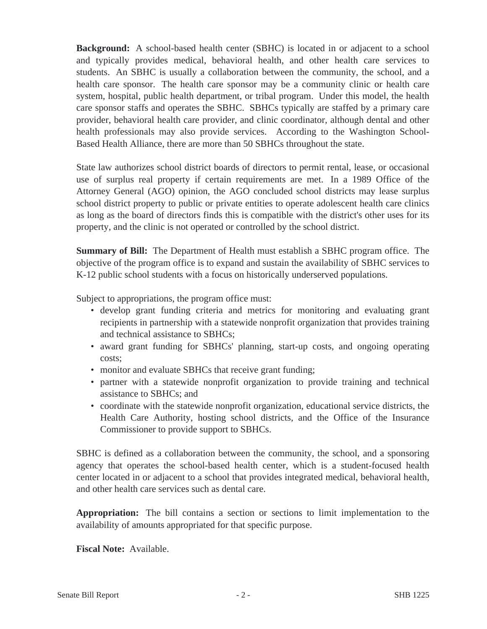**Background:** A school-based health center (SBHC) is located in or adjacent to a school and typically provides medical, behavioral health, and other health care services to students. An SBHC is usually a collaboration between the community, the school, and a health care sponsor. The health care sponsor may be a community clinic or health care system, hospital, public health department, or tribal program. Under this model, the health care sponsor staffs and operates the SBHC. SBHCs typically are staffed by a primary care provider, behavioral health care provider, and clinic coordinator, although dental and other health professionals may also provide services. According to the Washington School-Based Health Alliance, there are more than 50 SBHCs throughout the state.

State law authorizes school district boards of directors to permit rental, lease, or occasional use of surplus real property if certain requirements are met. In a 1989 Office of the Attorney General (AGO) opinion, the AGO concluded school districts may lease surplus school district property to public or private entities to operate adolescent health care clinics as long as the board of directors finds this is compatible with the district's other uses for its property, and the clinic is not operated or controlled by the school district.

**Summary of Bill:** The Department of Health must establish a SBHC program office. The objective of the program office is to expand and sustain the availability of SBHC services to K-12 public school students with a focus on historically underserved populations.

Subject to appropriations, the program office must:

- develop grant funding criteria and metrics for monitoring and evaluating grant recipients in partnership with a statewide nonprofit organization that provides training and technical assistance to SBHCs;
- award grant funding for SBHCs' planning, start-up costs, and ongoing operating costs;
- monitor and evaluate SBHCs that receive grant funding;
- partner with a statewide nonprofit organization to provide training and technical assistance to SBHCs; and
- coordinate with the statewide nonprofit organization, educational service districts, the Health Care Authority, hosting school districts, and the Office of the Insurance Commissioner to provide support to SBHCs.

SBHC is defined as a collaboration between the community, the school, and a sponsoring agency that operates the school-based health center, which is a student-focused health center located in or adjacent to a school that provides integrated medical, behavioral health, and other health care services such as dental care.

**Appropriation:** The bill contains a section or sections to limit implementation to the availability of amounts appropriated for that specific purpose.

**Fiscal Note:** Available.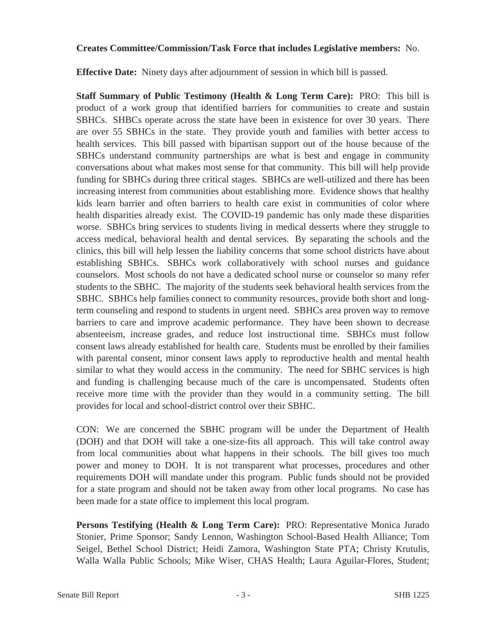## **Creates Committee/Commission/Task Force that includes Legislative members:** No.

**Effective Date:** Ninety days after adjournment of session in which bill is passed.

**Staff Summary of Public Testimony (Health & Long Term Care):** PRO: This bill is product of a work group that identified barriers for communities to create and sustain SBHCs. SHBCs operate across the state have been in existence for over 30 years. There are over 55 SBHCs in the state. They provide youth and families with better access to health services. This bill passed with bipartisan support out of the house because of the SBHCs understand community partnerships are what is best and engage in community conversations about what makes most sense for that community. This bill will help provide funding for SBHCs during three critical stages. SBHCs are well-utilized and there has been increasing interest from communities about establishing more. Evidence shows that healthy kids learn barrier and often barriers to health care exist in communities of color where health disparities already exist. The COVID-19 pandemic has only made these disparities worse. SBHCs bring services to students living in medical desserts where they struggle to access medical, behavioral health and dental services. By separating the schools and the clinics, this bill will help lessen the liability concerns that some school districts have about establishing SBHCs. SBHCs work collaboratively with school nurses and guidance counselors. Most schools do not have a dedicated school nurse or counselor so many refer students to the SBHC. The majority of the students seek behavioral health services from the SBHC. SBHCs help families connect to community resources, provide both short and longterm counseling and respond to students in urgent need. SBHCs area proven way to remove barriers to care and improve academic performance. They have been shown to decrease absenteeism, increase grades, and reduce lost instructional time. SBHCs must follow consent laws already established for health care. Students must be enrolled by their families with parental consent, minor consent laws apply to reproductive health and mental health similar to what they would access in the community. The need for SBHC services is high and funding is challenging because much of the care is uncompensated. Students often receive more time with the provider than they would in a community setting. The bill provides for local and school-district control over their SBHC.

CON: We are concerned the SBHC program will be under the Department of Health (DOH) and that DOH will take a one-size-fits all approach. This will take control away from local communities about what happens in their schools. The bill gives too much power and money to DOH. It is not transparent what processes, procedures and other requirements DOH will mandate under this program. Public funds should not be provided for a state program and should not be taken away from other local programs. No case has been made for a state office to implement this local program.

**Persons Testifying (Health & Long Term Care):** PRO: Representative Monica Jurado Stonier, Prime Sponsor; Sandy Lennon, Washington School-Based Health Alliance; Tom Seigel, Bethel School District; Heidi Zamora, Washington State PTA; Christy Krutulis, Walla Walla Public Schools; Mike Wiser, CHAS Health; Laura Aguilar-Flores, Student;